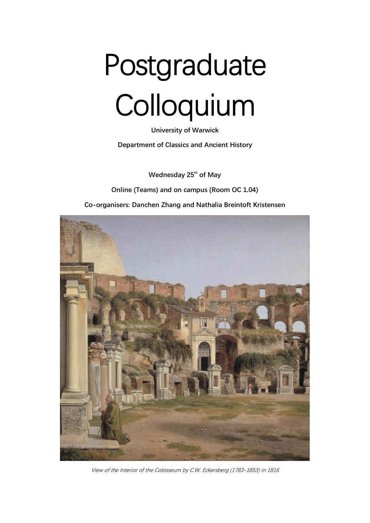# Postgraduate Colloquium

**University of Warwick Department of Classics and Ancient History**

**Wednesday 25th of May**

**Online (Teams) and on campus (Room OC 1.04)**

**Co-organisers: Danchen Zhang and Nathalia Breintoft Kristensen**



View of the Interior of the Colosseum by C.W. Eckersberg (1783-1853) in 1816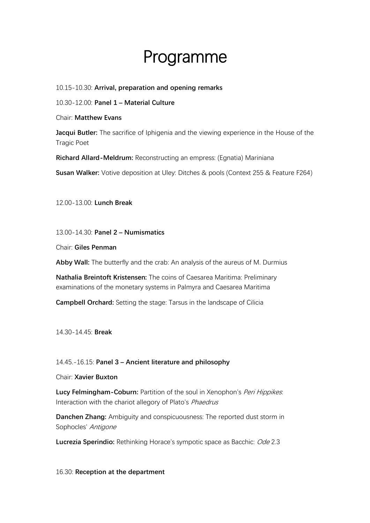# Programme

## 10.15-10.30: **Arrival, preparation and opening remarks**

10.30-12.00: **Panel 1 – Material Culture**

Chair: **Matthew Evans**

**Jacqui Butler:** The sacrifice of Iphigenia and the viewing experience in the House of the Tragic Poet

**Richard Allard-Meldrum:** Reconstructing an empress: (Egnatia) Mariniana

**Susan Walker:** Votive deposition at Uley: Ditches & pools (Context 255 & Feature F264)

12.00-13.00: **Lunch Break**

13.00-14.30: **Panel 2 – Numismatics**

Chair: **Giles Penman**

**Abby Wall:** The butterfly and the crab: An analysis of the aureus of M. Durmius

**Nathalia Breintoft Kristensen:** The coins of Caesarea Maritima: Preliminary examinations of the monetary systems in Palmyra and Caesarea Maritima

**Campbell Orchard:** Setting the stage: Tarsus in the landscape of Cilicia

14.30-14.45: **Break**

## 14.45.-16.15: **Panel 3 – Ancient literature and philosophy**

#### Chair: **Xavier Buxton**

**Lucy Felmingham-Coburn:** Partition of the soul in Xenophon's Peri Hippikes: Interaction with the chariot allegory of Plato's Phaedrus

**Danchen Zhang:** Ambiguity and conspicuousness: The reported dust storm in Sophocles' Antigone

**Lucrezia Sperindio:** Rethinking Horace's sympotic space as Bacchic: Ode 2.3

#### 16.30: **Reception at the department**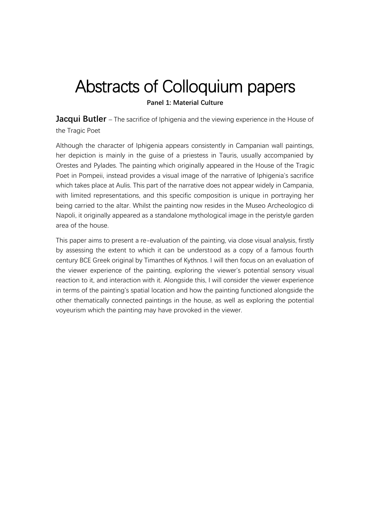# Abstracts of Colloquium papers

**Panel 1: Material Culture**

**Jacqui Butler** – The sacrifice of Iphigenia and the viewing experience in the House of the Tragic Poet

Although the character of Iphigenia appears consistently in Campanian wall paintings, her depiction is mainly in the guise of a priestess in Tauris, usually accompanied by Orestes and Pylades. The painting which originally appeared in the House of the Tragic Poet in Pompeii, instead provides a visual image of the narrative of Iphigenia's sacrifice which takes place at Aulis. This part of the narrative does not appear widely in Campania, with limited representations, and this specific composition is unique in portraying her being carried to the altar. Whilst the painting now resides in the Museo Archeologico di Napoli, it originally appeared as a standalone mythological image in the peristyle garden area of the house.

This paper aims to present a re-evaluation of the painting, via close visual analysis, firstly by assessing the extent to which it can be understood as a copy of a famous fourth century BCE Greek original by Timanthes of Kythnos. I will then focus on an evaluation of the viewer experience of the painting, exploring the viewer's potential sensory visual reaction to it, and interaction with it. Alongside this, I will consider the viewer experience in terms of the painting's spatial location and how the painting functioned alongside the other thematically connected paintings in the house, as well as exploring the potential voyeurism which the painting may have provoked in the viewer.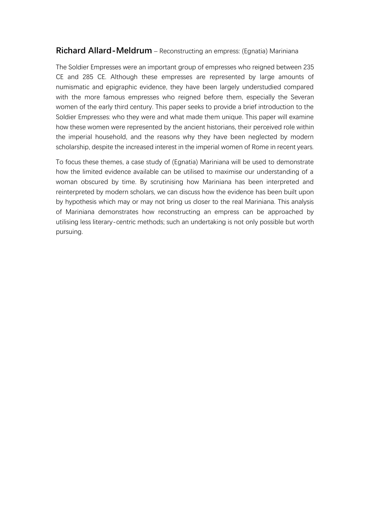# **Richard Allard-Meldrum** – Reconstructing an empress: (Egnatia) Mariniana

The Soldier Empresses were an important group of empresses who reigned between 235 CE and 285 CE. Although these empresses are represented by large amounts of numismatic and epigraphic evidence, they have been largely understudied compared with the more famous empresses who reigned before them, especially the Severan women of the early third century. This paper seeks to provide a brief introduction to the Soldier Empresses: who they were and what made them unique. This paper will examine how these women were represented by the ancient historians, their perceived role within the imperial household, and the reasons why they have been neglected by modern scholarship, despite the increased interest in the imperial women of Rome in recent years.

To focus these themes, a case study of (Egnatia) Mariniana will be used to demonstrate how the limited evidence available can be utilised to maximise our understanding of a woman obscured by time. By scrutinising how Mariniana has been interpreted and reinterpreted by modern scholars, we can discuss how the evidence has been built upon by hypothesis which may or may not bring us closer to the real Mariniana. This analysis of Mariniana demonstrates how reconstructing an empress can be approached by utilising less literary-centric methods; such an undertaking is not only possible but worth pursuing.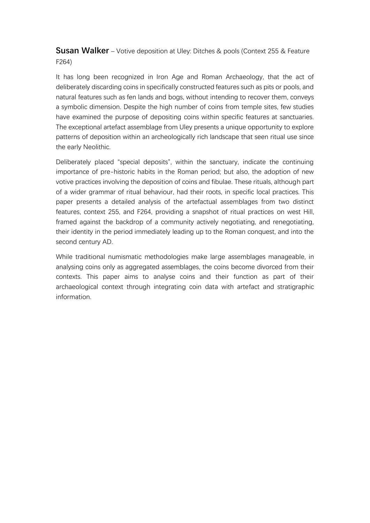**Susan Walker** – Votive deposition at Uley: Ditches & pools (Context 255 & Feature F264)

It has long been recognized in Iron Age and Roman Archaeology, that the act of deliberately discarding coins in specifically constructed features such as pits or pools, and natural features such as fen lands and bogs, without intending to recover them, conveys a symbolic dimension. Despite the high number of coins from temple sites, few studies have examined the purpose of depositing coins within specific features at sanctuaries. The exceptional artefact assemblage from Uley presents a unique opportunity to explore patterns of deposition within an archeologically rich landscape that seen ritual use since the early Neolithic.

Deliberately placed "special deposits", within the sanctuary, indicate the continuing importance of pre-historic habits in the Roman period; but also, the adoption of new votive practices involving the deposition of coins and fibulae. These rituals, although part of a wider grammar of ritual behaviour, had their roots, in specific local practices. This paper presents a detailed analysis of the artefactual assemblages from two distinct features, context 255, and F264, providing a snapshot of ritual practices on west Hill, framed against the backdrop of a community actively negotiating, and renegotiating, their identity in the period immediately leading up to the Roman conquest, and into the second century AD.

While traditional numismatic methodologies make large assemblages manageable, in analysing coins only as aggregated assemblages, the coins become divorced from their contexts. This paper aims to analyse coins and their function as part of their archaeological context through integrating coin data with artefact and stratigraphic information.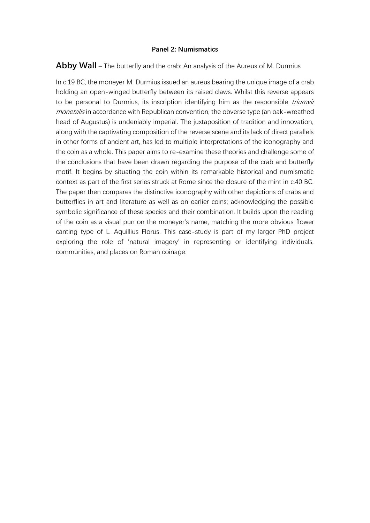#### **Panel 2: Numismatics**

# **Abby Wall** – The butterfly and the crab: An analysis of the Aureus of M. Durmius

In c.19 BC, the moneyer M. Durmius issued an aureus bearing the unique image of a crab holding an open-winged butterfly between its raised claws. Whilst this reverse appears to be personal to Durmius, its inscription identifying him as the responsible *triumvir* monetalis in accordance with Republican convention, the obverse type (an oak-wreathed head of Augustus) is undeniably imperial. The juxtaposition of tradition and innovation, along with the captivating composition of the reverse scene and its lack of direct parallels in other forms of ancient art, has led to multiple interpretations of the iconography and the coin as a whole. This paper aims to re-examine these theories and challenge some of the conclusions that have been drawn regarding the purpose of the crab and butterfly motif. It begins by situating the coin within its remarkable historical and numismatic context as part of the first series struck at Rome since the closure of the mint in c.40 BC. The paper then compares the distinctive iconography with other depictions of crabs and butterflies in art and literature as well as on earlier coins; acknowledging the possible symbolic significance of these species and their combination. It builds upon the reading of the coin as a visual pun on the moneyer's name, matching the more obvious flower canting type of L. Aquillius Florus. This case-study is part of my larger PhD project exploring the role of 'natural imagery' in representing or identifying individuals, communities, and places on Roman coinage.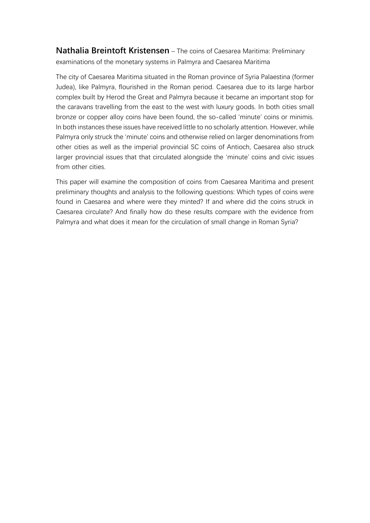**Nathalia Breintoft Kristensen** – The coins of Caesarea Maritima: Preliminary examinations of the monetary systems in Palmyra and Caesarea Maritima

The city of Caesarea Maritima situated in the Roman province of Syria Palaestina (former Judea), like Palmyra, flourished in the Roman period. Caesarea due to its large harbor complex built by Herod the Great and Palmyra because it became an important stop for the caravans travelling from the east to the west with luxury goods. In both cities small bronze or copper alloy coins have been found, the so-called 'minute' coins or minimis. In both instances these issues have received little to no scholarly attention. However, while Palmyra only struck the 'minute' coins and otherwise relied on larger denominations from other cities as well as the imperial provincial SC coins of Antioch, Caesarea also struck larger provincial issues that that circulated alongside the 'minute' coins and civic issues from other cities.

This paper will examine the composition of coins from Caesarea Maritima and present preliminary thoughts and analysis to the following questions: Which types of coins were found in Caesarea and where were they minted? If and where did the coins struck in Caesarea circulate? And finally how do these results compare with the evidence from Palmyra and what does it mean for the circulation of small change in Roman Syria?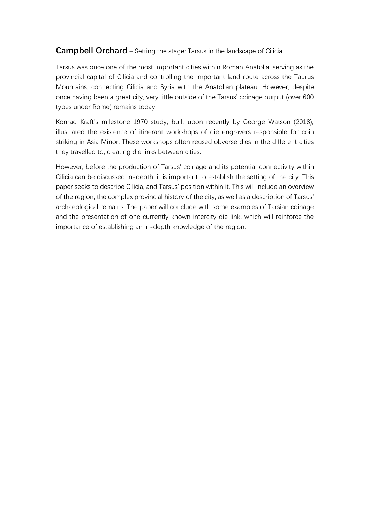# **Campbell Orchard** – Setting the stage: Tarsus in the landscape of Cilicia

Tarsus was once one of the most important cities within Roman Anatolia, serving as the provincial capital of Cilicia and controlling the important land route across the Taurus Mountains, connecting Cilicia and Syria with the Anatolian plateau. However, despite once having been a great city, very little outside of the Tarsus' coinage output (over 600 types under Rome) remains today.

Konrad Kraft's milestone 1970 study, built upon recently by George Watson (2018), illustrated the existence of itinerant workshops of die engravers responsible for coin striking in Asia Minor. These workshops often reused obverse dies in the different cities they travelled to, creating die links between cities.

However, before the production of Tarsus' coinage and its potential connectivity within Cilicia can be discussed in-depth, it is important to establish the setting of the city. This paper seeks to describe Cilicia, and Tarsus' position within it. This will include an overview of the region, the complex provincial history of the city, as well as a description of Tarsus' archaeological remains. The paper will conclude with some examples of Tarsian coinage and the presentation of one currently known intercity die link, which will reinforce the importance of establishing an in-depth knowledge of the region.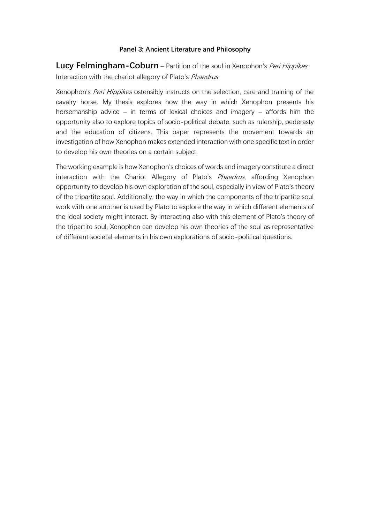### **Panel 3: Ancient Literature and Philosophy**

**Lucy Felmingham-Coburn** – Partition of the soul in Xenophon's *Peri Hippikes*: Interaction with the chariot allegory of Plato's Phaedrus

Xenophon's *Peri Hippikes* ostensibly instructs on the selection, care and training of the cavalry horse. My thesis explores how the way in which Xenophon presents his horsemanship advice – in terms of lexical choices and imagery – affords him the opportunity also to explore topics of socio-political debate, such as rulership, pederasty and the education of citizens. This paper represents the movement towards an investigation of how Xenophon makes extended interaction with one specific text in order to develop his own theories on a certain subject.

The working example is how Xenophon's choices of words and imagery constitute a direct interaction with the Chariot Allegory of Plato's Phaedrus, affording Xenophon opportunity to develop his own exploration of the soul, especially in view of Plato's theory of the tripartite soul. Additionally, the way in which the components of the tripartite soul work with one another is used by Plato to explore the way in which different elements of the ideal society might interact. By interacting also with this element of Plato's theory of the tripartite soul, Xenophon can develop his own theories of the soul as representative of different societal elements in his own explorations of socio-political questions.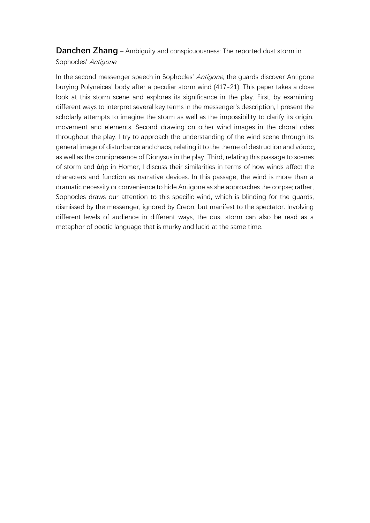**Danchen Zhang** – Ambiguity and conspicuousness: The reported dust storm in Sophocles' Antigone

In the second messenger speech in Sophocles' Antigone, the guards discover Antigone burying Polyneices' body after a peculiar storm wind (417-21). This paper takes a close look at this storm scene and explores its significance in the play. First, by examining different ways to interpret several key terms in the messenger's description, I present the scholarly attempts to imagine the storm as well as the impossibility to clarify its origin, movement and elements. Second, drawing on other wind images in the choral odes throughout the play, I try to approach the understanding of the wind scene through its general image of disturbance and chaos, relating it to the theme of destruction and νόσος, as well as the omnipresence of Dionysus in the play. Third, relating this passage to scenes of storm and ἀήρ in Homer, I discuss their similarities in terms of how winds affect the characters and function as narrative devices. In this passage, the wind is more than a dramatic necessity or convenience to hide Antigone as she approaches the corpse; rather, Sophocles draws our attention to this specific wind, which is blinding for the guards, dismissed by the messenger, ignored by Creon, but manifest to the spectator. Involving different levels of audience in different ways, the dust storm can also be read as a metaphor of poetic language that is murky and lucid at the same time.